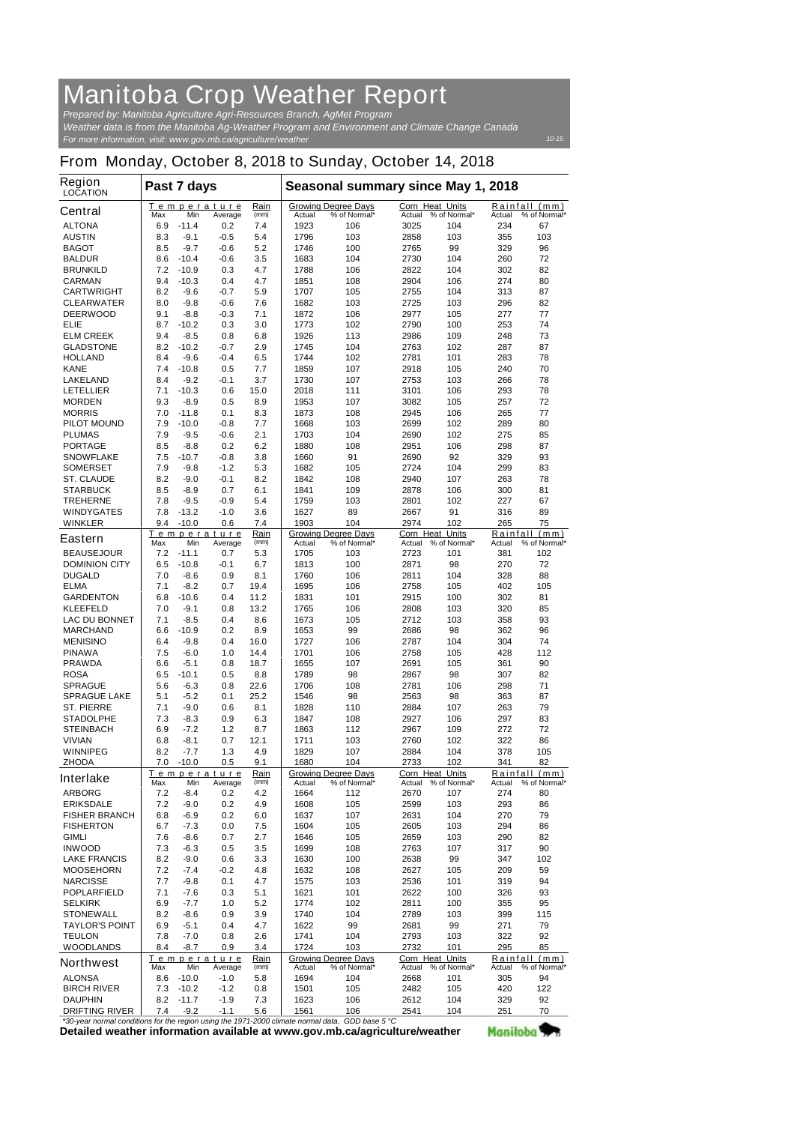## **Manitoba Crop Weather Report**

*For more information, visit: www.gov.mb.ca/agriculture/weather Prepared by: Manitoba Agriculture Agri-Resources Branch, AgMet Program Weather data is from the Manitoba Ag-Weather Program and Environment and Climate Change Canada*

## **From Monday, October 8, 2018 to Sunday, October 14, 2018**

| <b>Region</b><br><b>LOCATION</b>                                             | Past 7 days |                    |                        |              | Seasonal summary since May 1, 2018 |                                            |                                  |                            |                    |                               |
|------------------------------------------------------------------------------|-------------|--------------------|------------------------|--------------|------------------------------------|--------------------------------------------|----------------------------------|----------------------------|--------------------|-------------------------------|
| <b>Central</b>                                                               | Max         | Min                | Temperature<br>Average | Rain<br>(mm) | Actual                             | <b>Growing Degree Days</b><br>% of Normal* | <b>Corn Heat Units</b><br>Actual | % of Normal*               | Rainfall<br>Actual | (mm)<br>% of Normal*          |
| <b>ALTONA</b>                                                                | 6.9         | $-11.4$            | 0.2                    | 7.4          | 1923                               | 106                                        | 3025                             | 104                        | 234                | 67                            |
| <b>AUSTIN</b>                                                                | 8.3         | $-9.1$             | $-0.5$                 | 5.4          | 1796                               | 103                                        | 2858                             | 103                        | 355                | 103                           |
| <b>BAGOT</b>                                                                 | 8.5         | $-9.7$             | $-0.6$                 | 5.2          | 1746                               | 100                                        | 2765                             | 99                         | 329                | 96                            |
| <b>BALDUR</b>                                                                | 8.6         | $-10.4$            | $-0.6$                 | 3.5          | 1683                               | 104                                        | 2730                             | 104                        | 260                | 72                            |
| <b>BRUNKILD</b>                                                              | 7.2         | $-10.9$            | 0.3                    | 4.7          | 1788                               | 106                                        | 2822                             | 104                        | 302                | 82                            |
| <b>CARMAN</b>                                                                | 9.4         | $-10.3$            | 0.4                    | 4.7          | 1851                               | 108                                        | 2904                             | 106                        | 274                | 80                            |
| <b>CARTWRIGHT</b>                                                            | 8.2         | $-9.6$             | $-0.7$                 | 5.9          | 1707                               | 105                                        | 2755                             | 104                        | 313                | 87                            |
| <b>CLEARWATER</b><br><b>DEERWOOD</b>                                         | 8.0<br>9.1  | $-9.8$<br>$-8.8$   | $-0.6$<br>$-0.3$       | 7.6<br>7.1   | 1682<br>1872                       | 103<br>106                                 | 2725<br>2977                     | 103<br>105                 | 296<br>277         | 82<br>77                      |
| ELIE                                                                         | 8.7         | $-10.2$            | 0.3                    | 3.0          | 1773                               | 102                                        | 2790                             | 100                        | 253                | 74                            |
| <b>ELM CREEK</b>                                                             | 9.4         | $-8.5$             | 0.8                    | 6.8          | 1926                               | 113                                        | 2986                             | 109                        | 248                | 73                            |
| <b>GLADSTONE</b>                                                             | 8.2         | $-10.2$            | $-0.7$                 | 2.9          | 1745                               | 104                                        | 2763                             | 102                        | 287                | 87                            |
| <b>HOLLAND</b>                                                               | 8.4         | -9.6               | $-0.4$                 | 6.5          | 1744                               | 102                                        | 2781                             | 101                        | 283                | 78                            |
| <b>KANE</b>                                                                  | 7.4         | $-10.8$            | 0.5                    | 7.7          | 1859                               | 107                                        | 2918                             | 105                        | 240                | 70                            |
| <b>LAKELAND</b>                                                              | 8.4         | $-9.2$             | -0.1                   | 3.7          | 1730                               | 107                                        | 2753                             | 103                        | 266                | 78                            |
| <b>LETELLIER</b>                                                             | 7.1         | $-10.3$            | 0.6                    | 15.0         | 2018                               | 111                                        | 3101                             | 106                        | 293                | 78                            |
| <b>MORDEN</b>                                                                | 9.3         | $-8.9$             | 0.5                    | 8.9          | 1953                               | 107                                        | 3082                             | 105                        | 257                | 72                            |
| <b>MORRIS</b>                                                                | 7.0         | $-11.8$            | 0.1                    | 8.3          | 1873                               | 108                                        | 2945                             | 106                        | 265                | 77                            |
| <b>PILOT MOUND</b>                                                           | 7.9         | $-10.0$            | $-0.8$                 | 7.7          | 1668                               | 103                                        | 2699                             | 102                        | 289                | 80                            |
| <b>PLUMAS</b>                                                                | 7.9<br>8.5  | $-9.5$<br>$-8.8$   | $-0.6$<br>0.2          | 2.1<br>6.2   | 1703<br>1880                       | 104                                        | 2690                             | 102                        | 275<br>298         | 85<br>87                      |
| <b>PORTAGE</b><br><b>SNOWFLAKE</b>                                           | 7.5         | $-10.7$            | $-0.8$                 | 3.8          | 1660                               | 108<br>91                                  | 2951<br>2690                     | 106<br>92                  | 329                | 93                            |
| <b>SOMERSET</b>                                                              | 7.9         | -9.8               | -1.2                   | 5.3          | 1682                               | 105                                        | 2724                             | 104                        | 299                | 83                            |
| <b>ST. CLAUDE</b>                                                            | 8.2         | -9.0               | $-0.1$                 | 8.2          | 1842                               | 108                                        | 2940                             | 107                        | 263                | 78                            |
| <b>STARBUCK</b>                                                              | 8.5         | $-8.9$             | 0.7                    | 6.1          | 1841                               | 109                                        | 2878                             | 106                        | 300                | 81                            |
| <b>TREHERNE</b>                                                              | 7.8         | -9.5               | $-0.9$                 | 5.4          | 1759                               | 103                                        | 2801                             | 102                        | 227                | 67                            |
| <b>WINDYGATES</b>                                                            | 7.8         | $-13.2$            | $-1.0$                 | 3.6          | 1627                               | 89                                         | 2667                             | 91                         | 316                | 89                            |
| <b>WINKLER</b>                                                               | 9.4         | $-10.0$            | 0.6                    | 7.4          | 1903                               | 104                                        | 2974                             | 102                        | 265                | 75                            |
| <b>Eastern</b>                                                               |             |                    | Temperature            | Rain         |                                    | <b>Growing Degree Days</b>                 | Corn Heat Units                  |                            | Rainfall           | (mm)                          |
|                                                                              | <b>Max</b>  | Min                | Average                | (mm)         | Actual                             | % of Normal*                               | Actual                           | % of Normal*               | Actual             | % of Normal*                  |
| <b>BEAUSEJOUR</b><br><b>DOMINION CITY</b>                                    | 7.2<br>6.5  | $-11.1$<br>$-10.8$ | 0.7<br>$-0.1$          | 5.3<br>6.7   | 1705<br>1813                       | 103<br>100                                 | 2723<br>2871                     | 101<br>98                  | 381<br>270         | 102<br>72                     |
| <b>DUGALD</b>                                                                | 7.0         | $-8.6$             | 0.9                    | 8.1          | 1760                               | 106                                        | 2811                             | 104                        | 328                | 88                            |
| <b>ELMA</b>                                                                  | 7.1         | -8.2               | 0.7                    | 19.4         | 1695                               | 106                                        | 2758                             | 105                        | 402                | 105                           |
| <b>GARDENTON</b>                                                             | 6.8         | $-10.6$            | 0.4                    | 11.2         | 1831                               | 101                                        | 2915                             | 100                        | 302                | 81                            |
| <b>KLEEFELD</b>                                                              | 7.0         | $-9.1$             | 0.8                    | 13.2         | 1765                               | 106                                        | 2808                             | 103                        | 320                | 85                            |
| <b>LAC DU BONNET</b>                                                         | 7.1         | -8.5               | 0.4                    | 8.6          | 1673                               | 105                                        | 2712                             | 103                        | 358                | 93                            |
| <b>MARCHAND</b>                                                              | 6.6         | $-10.9$            | 0.2                    | 8.9          | 1653                               | 99                                         | 2686                             | 98                         | 362                | 96                            |
| <b>MENISINO</b>                                                              | 6.4         | $-9.8$             | 0.4                    | 16.0         | 1727                               | 106                                        | 2787                             | 104                        | 304                | 74                            |
| PINAWA                                                                       | 7.5         | -6.0               | 1.0                    | 14.4         | 1701                               | 106                                        | 2758                             | 105                        | 428                | 112                           |
| <b>PRAWDA</b>                                                                | 6.6         | -5.1               | 0.8                    | 18.7         | 1655                               | 107                                        | 2691                             | 105                        | 361                | 90                            |
| <b>ROSA</b><br><b>SPRAGUE</b>                                                | 6.5<br>5.6  | $-10.1$<br>$-6.3$  | 0.5<br>0.8             | 8.8<br>22.6  | 1789<br>1706                       | 98<br>108                                  | 2867<br>2781                     | 98<br>106                  | 307<br>298         | 82<br>71                      |
| <b>SPRAGUE LAKE</b>                                                          | 5.1         | -5.2               | 0.1                    | 25.2         | 1546                               | 98                                         | 2563                             | 98                         | 363                | 87                            |
| <b>ST. PIERRE</b>                                                            | 7.1         | -9.0               | 0.6                    | 8.1          | 1828                               | 110                                        | 2884                             | 107                        | 263                | 79                            |
| <b>STADOLPHE</b>                                                             | 7.3         | -8.3               | 0.9                    | 6.3          | 1847                               | 108                                        | 2927                             | 106                        | 297                | 83                            |
| <b>STEINBACH</b>                                                             | 6.9         | -7.2               | 1.2                    | 8.7          | 1863                               | 112                                        | 2967                             | 109                        | 272                | 72                            |
| <b>VIVIAN</b>                                                                | 6.8         | -8.1               | 0.7                    | 12.1         | 1711                               | 103                                        | 2760                             | 102                        | 322                | 86                            |
| <b>WINNIPEG</b>                                                              | 8.2         | -7.7               | 1.3                    | 4.9          | 1829                               | 107                                        | 2884                             | 104                        | 378                | 105                           |
| <b>ZHODA</b>                                                                 | 7.0         | $-10.0$            | 0.5                    | 9.1          | 1680                               | 104                                        | 2733                             | 102                        | 341                | 82                            |
| <b>Interlake</b>                                                             |             |                    | Temperature            | Rain<br>(mm) |                                    | <b>Growing Degree Days</b>                 | Corn Heat Units                  |                            |                    | Rainfall (mm)<br>% of Normal* |
| <b>ARBORG</b>                                                                | Max<br>7.2  | Min<br>-8.4        | Average<br>0.2         | 4.2          | <b>Actual</b><br>1664              | % of Normal*<br>112                        | 2670                             | Actual % of Normal*<br>107 | Actual<br>274      | 80                            |
| <b>ERIKSDALE</b>                                                             | 7.2         | -9.0               | 0.2                    | 4.9          | 1608                               | 105                                        | 2599                             | 103                        | 293                | 86                            |
| <b>FISHER BRANCH</b>                                                         | 6.8         | $-6.9$             | 0.2                    | 6.0          | 1637                               | 107                                        | 2631                             | 104                        | 270                | 79                            |
| <b>FISHERTON</b>                                                             | 6.7         | $-7.3$             | 0.0                    | 7.5          | 1604                               | 105                                        | 2605                             | 103                        | 294                | 86                            |
| <b>GIMLI</b>                                                                 | 7.6         | -8.6               | 0.7                    | 2.7          | 1646                               | 105                                        | 2659                             | 103                        | 290                | 82                            |
| <b>INWOOD</b>                                                                | 7.3         | $-6.3$             | 0.5                    | 3.5          | 1699                               | 108                                        | 2763                             | 107                        | 317                | 90                            |
| <b>LAKE FRANCIS</b>                                                          | 8.2         | -9.0               | 0.6                    | 3.3          | 1630                               | 100                                        | 2638                             | 99                         | 347                | 102                           |
| <b>MOOSEHORN</b>                                                             | 7.2         | -7.4               | -0.2                   | 4.8          | 1632                               | 108                                        | 2627                             | 105                        | 209                | 59                            |
| <b>NARCISSE</b>                                                              | 7.7         | -9.8               | 0.1                    | 4.7          | 1575                               | 103                                        | 2536                             | 101                        | 319                | 94                            |
| <b>POPLARFIELD</b>                                                           | 7.1         | -7.6               | 0.3                    | 5.1          | 1621                               | 101                                        | 2622                             | 100                        | 326                | 93                            |
| <b>SELKIRK</b>                                                               | 6.9         | $-7.7$             | 1.0                    | 5.2          | 1774                               | 102                                        | 2811                             | 100                        | 355                | 95                            |
| <b>STONEWALL</b><br><b>TAYLOR'S POINT</b>                                    | 8.2<br>6.9  | -8.6<br>-5.1       | 0.9<br>0.4             | 3.9<br>4.7   | 1740<br>1622                       | 104<br>99                                  | 2789<br>2681                     | 103<br>99                  | 399<br>271         | 115<br>79                     |
| <b>TEULON</b>                                                                | 7.8         | -7.0               | 0.8                    | 2.6          | 1741                               | 104                                        | 2793                             | 103                        | 322                | 92                            |
| <b>WOODLANDS</b>                                                             | 8.4         | $-8.7$             | 0.9                    | 3.4          | 1724                               | 103                                        | 2732                             | 101                        | 295                | 85                            |
| <b>Northwest</b>                                                             |             |                    | Temperature            | Rain         |                                    | <b>Growing Degree Days</b>                 | <b>Corn Heat Units</b>           |                            | Rainfall           | (mm)                          |
|                                                                              | Max         | Min                | Average                | (mm)         | <b>Actual</b>                      | % of Normal*                               | Actual                           | % of Normal*               | Actual             | % of Normal*                  |
| <b>ALONSA</b>                                                                | 8.6         | $-10.0$            | -1.0                   | 5.8          | 1694                               | 104                                        | 2668                             | 101                        | 305                | 94                            |
| <b>BIRCH RIVER</b>                                                           | 7.3         | $-10.2$            | $-1.2$                 | 0.8          | 1501                               | 105                                        | 2482                             | 105                        | 420                | 122                           |
| <b>DAUPHIN</b><br><b>DRIFTING RIVER</b>                                      | 8.2<br>7.4  | $-11.7$<br>$-9.2$  | $-1.9$<br>$-1.1$       | 7.3<br>5.6   | 1623<br>1561                       | 106<br>106                                 | 2612<br>2541                     | 104<br>104                 | 329<br>251         | 92<br>70                      |
| per nermal conditions for the region uping the 1071 2000 elimete nermal data |             |                    |                        |              |                                    | $CDD$ hoog $E \, \Omega$                   |                                  |                            |                    |                               |

**Detailed weather information available at www.gov.mb.ca/agriculture/weather** *\*30-year normal conditions for the region using the 1971-2000 climate normal data. GDD base 5 °C* Manitoba<sup>y</sup>